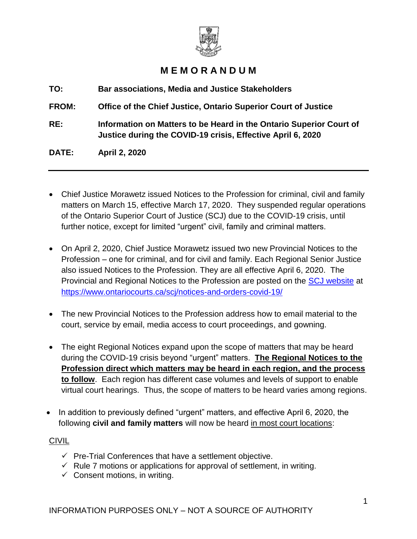

# **M E M O R A N D U M**

**TO: Bar associations, Media and Justice Stakeholders**

**FROM: Office of the Chief Justice, Ontario Superior Court of Justice**

**RE: Information on Matters to be Heard in the Ontario Superior Court of Justice during the COVID-19 crisis, Effective April 6, 2020**

**DATE: April 2, 2020**

- Chief Justice Morawetz issued Notices to the Profession for criminal, civil and family matters on March 15, effective March 17, 2020. They suspended regular operations of the Ontario Superior Court of Justice (SCJ) due to the COVID-19 crisis, until further notice, except for limited "urgent" civil, family and criminal matters.
- On April 2, 2020, Chief Justice Morawetz issued two new Provincial Notices to the Profession – one for criminal, and for civil and family. Each Regional Senior Justice also issued Notices to the Profession. They are all effective April 6, 2020. The Provincial and Regional Notices to the Profession are posted on the [SCJ website](https://www.ontariocourts.ca/scj/notices-and-orders-covid-19/) at <https://www.ontariocourts.ca/scj/notices-and-orders-covid-19/>
- The new Provincial Notices to the Profession address how to email material to the court, service by email, media access to court proceedings, and gowning.
- The eight Regional Notices expand upon the scope of matters that may be heard during the COVID-19 crisis beyond "urgent" matters. **The Regional Notices to the Profession direct which matters may be heard in each region, and the process to follow**. Each region has different case volumes and levels of support to enable virtual court hearings. Thus, the scope of matters to be heard varies among regions.
- In addition to previously defined "urgent" matters, and effective April 6, 2020, the following **civil and family matters** will now be heard in most court locations:

### CIVIL

- $\checkmark$  Pre-Trial Conferences that have a settlement objective.
- $\checkmark$  Rule 7 motions or applications for approval of settlement, in writing.
- $\checkmark$  Consent motions, in writing.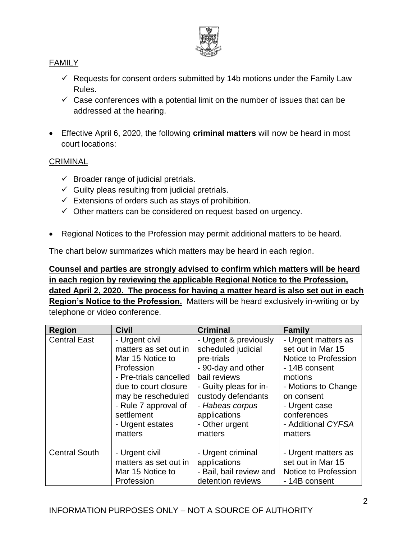

## FAMILY

- $\checkmark$  Requests for consent orders submitted by 14b motions under the Family Law Rules.
- $\checkmark$  Case conferences with a potential limit on the number of issues that can be addressed at the hearing.
- Effective April 6, 2020, the following **criminal matters** will now be heard in most court locations:

#### **CRIMINAL**

- $\checkmark$  Broader range of judicial pretrials.
- $\checkmark$  Guilty pleas resulting from judicial pretrials.
- $\checkmark$  Extensions of orders such as stays of prohibition.
- $\checkmark$  Other matters can be considered on request based on urgency.
- Regional Notices to the Profession may permit additional matters to be heard.

The chart below summarizes which matters may be heard in each region.

## **Counsel and parties are strongly advised to confirm which matters will be heard in each region by reviewing the applicable Regional Notice to the Profession, dated April 2, 2020. The process for having a matter heard is also set out in each**

**Region's Notice to the Profession.** Matters will be heard exclusively in-writing or by telephone or video conference.

| <b>Region</b>        | <b>Civil</b>           | <b>Criminal</b>         | <b>Family</b>        |
|----------------------|------------------------|-------------------------|----------------------|
| <b>Central East</b>  | - Urgent civil         | - Urgent & previously   | - Urgent matters as  |
|                      | matters as set out in  | scheduled judicial      | set out in Mar 15    |
|                      | Mar 15 Notice to       | pre-trials              | Notice to Profession |
|                      | Profession             | - 90-day and other      | - 14B consent        |
|                      | - Pre-trials cancelled | bail reviews            | motions              |
|                      | due to court closure   | - Guilty pleas for in-  | - Motions to Change  |
|                      | may be rescheduled     | custody defendants      | on consent           |
|                      | - Rule 7 approval of   | - Habeas corpus         | - Urgent case        |
|                      | settlement             | applications            | conferences          |
|                      | - Urgent estates       | - Other urgent          | - Additional CYFSA   |
|                      | matters                | matters                 | matters              |
| <b>Central South</b> | - Urgent civil         | - Urgent criminal       | - Urgent matters as  |
|                      | matters as set out in  | applications            | set out in Mar 15    |
|                      | Mar 15 Notice to       | - Bail, bail review and | Notice to Profession |
|                      | Profession             | detention reviews       | - 14B consent        |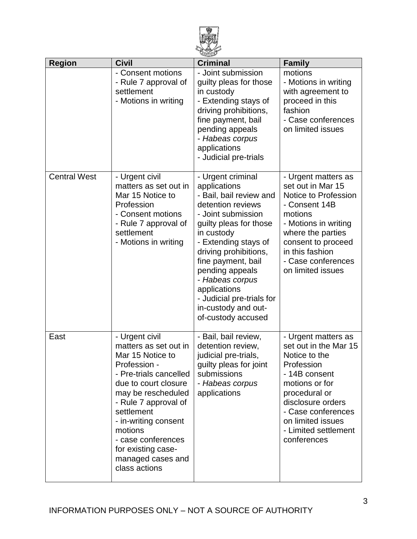

| <b>Region</b>       | <b>Civil</b>                                                                                                                                                                                                                                                                                                   | <b>Criminal</b>                                                                                                                                                                                                                                                                                                                                        | <b>Family</b>                                                                                                                                                                                                                          |
|---------------------|----------------------------------------------------------------------------------------------------------------------------------------------------------------------------------------------------------------------------------------------------------------------------------------------------------------|--------------------------------------------------------------------------------------------------------------------------------------------------------------------------------------------------------------------------------------------------------------------------------------------------------------------------------------------------------|----------------------------------------------------------------------------------------------------------------------------------------------------------------------------------------------------------------------------------------|
|                     | - Consent motions<br>- Rule 7 approval of<br>settlement<br>- Motions in writing                                                                                                                                                                                                                                | - Joint submission<br>guilty pleas for those<br>in custody<br>- Extending stays of<br>driving prohibitions,<br>fine payment, bail<br>pending appeals<br>- Habeas corpus<br>applications<br>- Judicial pre-trials                                                                                                                                       | motions<br>- Motions in writing<br>with agreement to<br>proceed in this<br>fashion<br>- Case conferences<br>on limited issues                                                                                                          |
| <b>Central West</b> | - Urgent civil<br>matters as set out in<br>Mar 15 Notice to<br>Profession<br>- Consent motions<br>- Rule 7 approval of<br>settlement<br>- Motions in writing                                                                                                                                                   | - Urgent criminal<br>applications<br>- Bail, bail review and<br>detention reviews<br>- Joint submission<br>guilty pleas for those<br>in custody<br>- Extending stays of<br>driving prohibitions,<br>fine payment, bail<br>pending appeals<br>- Habeas corpus<br>applications<br>- Judicial pre-trials for<br>in-custody and out-<br>of-custody accused | - Urgent matters as<br>set out in Mar 15<br>Notice to Profession<br>- Consent 14B<br>motions<br>- Motions in writing<br>where the parties<br>consent to proceed<br>in this fashion<br>- Case conferences<br>on limited issues          |
| East                | - Urgent civil<br>matters as set out in<br>Mar 15 Notice to<br>Profession -<br>- Pre-trials cancelled<br>due to court closure<br>may be rescheduled<br>- Rule 7 approval of<br>settlement<br>- in-writing consent<br>motions<br>- case conferences<br>for existing case-<br>managed cases and<br>class actions | - Bail, bail review,<br>detention review,<br>judicial pre-trials,<br>guilty pleas for joint<br>submissions<br>- Habeas corpus<br>applications                                                                                                                                                                                                          | - Urgent matters as<br>set out in the Mar 15<br>Notice to the<br>Profession<br>- 14B consent<br>motions or for<br>procedural or<br>disclosure orders<br>- Case conferences<br>on limited issues<br>- Limited settlement<br>conferences |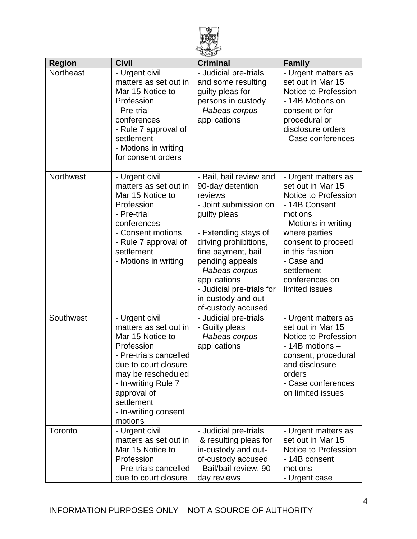

| <b>Region</b>    | <b>Civil</b>                                                                                                                                                                                                                             | <b>Criminal</b>                                                                                                                                                                                                                                                                                        | <b>Family</b>                                                                                                                                                                                                                                  |
|------------------|------------------------------------------------------------------------------------------------------------------------------------------------------------------------------------------------------------------------------------------|--------------------------------------------------------------------------------------------------------------------------------------------------------------------------------------------------------------------------------------------------------------------------------------------------------|------------------------------------------------------------------------------------------------------------------------------------------------------------------------------------------------------------------------------------------------|
| Northeast        | - Urgent civil<br>matters as set out in<br>Mar 15 Notice to<br>Profession<br>- Pre-trial<br>conferences<br>- Rule 7 approval of<br>settlement<br>- Motions in writing<br>for consent orders                                              | - Judicial pre-trials<br>and some resulting<br>guilty pleas for<br>persons in custody<br>- Habeas corpus<br>applications                                                                                                                                                                               | - Urgent matters as<br>set out in Mar 15<br>Notice to Profession<br>- 14B Motions on<br>consent or for<br>procedural or<br>disclosure orders<br>- Case conferences                                                                             |
| <b>Northwest</b> | - Urgent civil<br>matters as set out in<br>Mar 15 Notice to<br>Profession<br>- Pre-trial<br>conferences<br>- Consent motions<br>- Rule 7 approval of<br>settlement<br>- Motions in writing                                               | - Bail, bail review and<br>90-day detention<br>reviews<br>- Joint submission on<br>guilty pleas<br>- Extending stays of<br>driving prohibitions,<br>fine payment, bail<br>pending appeals<br>- Habeas corpus<br>applications<br>- Judicial pre-trials for<br>in-custody and out-<br>of-custody accused | - Urgent matters as<br>set out in Mar 15<br>Notice to Profession<br>- 14B Consent<br>motions<br>- Motions in writing<br>where parties<br>consent to proceed<br>in this fashion<br>- Case and<br>settlement<br>conferences on<br>limited issues |
| Southwest        | - Urgent civil<br>matters as set out in<br>Mar 15 Notice to<br>Profession<br>- Pre-trials cancelled<br>due to court closure<br>may be rescheduled<br>- In-writing Rule 7<br>approval of<br>settlement<br>- In-writing consent<br>motions | - Judicial pre-trials<br>- Guilty pleas<br>- Habeas corpus<br>applications                                                                                                                                                                                                                             | - Urgent matters as<br>set out in Mar 15<br>Notice to Profession<br>- 14B motions -<br>consent, procedural<br>and disclosure<br>orders<br>- Case conferences<br>on limited issues                                                              |
| Toronto          | - Urgent civil<br>matters as set out in<br>Mar 15 Notice to<br>Profession<br>- Pre-trials cancelled<br>due to court closure                                                                                                              | - Judicial pre-trials<br>& resulting pleas for<br>in-custody and out-<br>of-custody accused<br>- Bail/bail review, 90-<br>day reviews                                                                                                                                                                  | - Urgent matters as<br>set out in Mar 15<br>Notice to Profession<br>- 14B consent<br>motions<br>- Urgent case                                                                                                                                  |